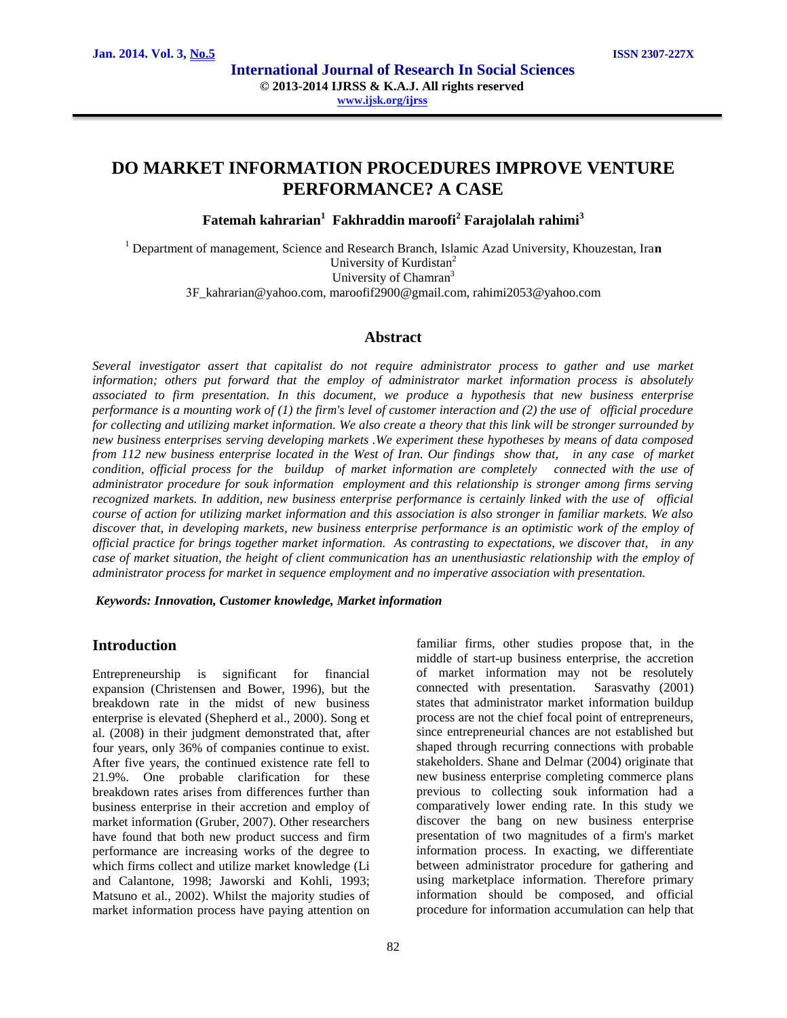# **DO MARKET INFORMATION PROCEDURES IMPROVE VENTURE PERFORMANCE? A CASE**

**Fatemah kahrarian<sup>1</sup> Fakhraddin maroofi<sup>2</sup> Farajolalah rahimi<sup>3</sup>**

<sup>1</sup> Department of management, Science and Research Branch, Islamic Azad University, Khouzestan, Ira**n** University of Kurdistan<sup>2</sup> University of Chamran<sup>3</sup>

3F\_kahrarian@yahoo.com, maroofif2900@gmail.com, rahimi2053@yahoo.com

### **Abstract**

*Several investigator assert that capitalist do not require administrator process to gather and use market information; others put forward that the employ of administrator market information process is absolutely associated to firm presentation. In this document, we produce a hypothesis that new business enterprise performance is a mounting work of (1) the firm's level of customer interaction and (2) the use of official procedure for collecting and utilizing market information. We also create a theory that this link will be stronger surrounded by new business enterprises serving developing markets .We experiment these hypotheses by means of data composed from 112 new business enterprise located in the West of Iran. Our findings show that, in any case of market condition, official process for the buildup of market information are completely connected with the use of administrator procedure for souk information employment and this relationship is stronger among firms serving recognized markets. In addition, new business enterprise performance is certainly linked with the use of official course of action for utilizing market information and this association is also stronger in familiar markets. We also*  discover that, in developing markets, new business enterprise performance is an optimistic work of the employ of *official practice for brings together market information. As contrasting to expectations, we discover that, in any case of market situation, the height of client communication has an unenthusiastic relationship with the employ of administrator process for market in sequence employment and no imperative association with presentation.*

*Keywords: Innovation, Customer knowledge, Market information*

## **Introduction**

Entrepreneurship is significant for financial expansion (Christensen and Bower, 1996), but the breakdown rate in the midst of new business enterprise is elevated (Shepherd et al., 2000). Song et al. (2008) in their judgment demonstrated that, after four years, only 36% of companies continue to exist. After five years, the continued existence rate fell to 21.9%. One probable clarification for these breakdown rates arises from differences further than business enterprise in their accretion and employ of market information (Gruber, 2007). Other researchers have found that both new product success and firm performance are increasing works of the degree to which firms collect and utilize market knowledge (Li and Calantone, 1998; Jaworski and Kohli, 1993; Matsuno et al., 2002). Whilst the majority studies of market information process have paying attention on familiar firms, other studies propose that, in the middle of start-up business enterprise, the accretion of market information may not be resolutely connected with presentation. Sarasvathy (2001) states that administrator market information buildup process are not the chief focal point of entrepreneurs, since entrepreneurial chances are not established but shaped through recurring connections with probable stakeholders. Shane and Delmar (2004) originate that new business enterprise completing commerce plans previous to collecting souk information had a comparatively lower ending rate. In this study we discover the bang on new business enterprise presentation of two magnitudes of a firm's market information process. In exacting, we differentiate between administrator procedure for gathering and using marketplace information. Therefore primary information should be composed, and official procedure for information accumulation can help that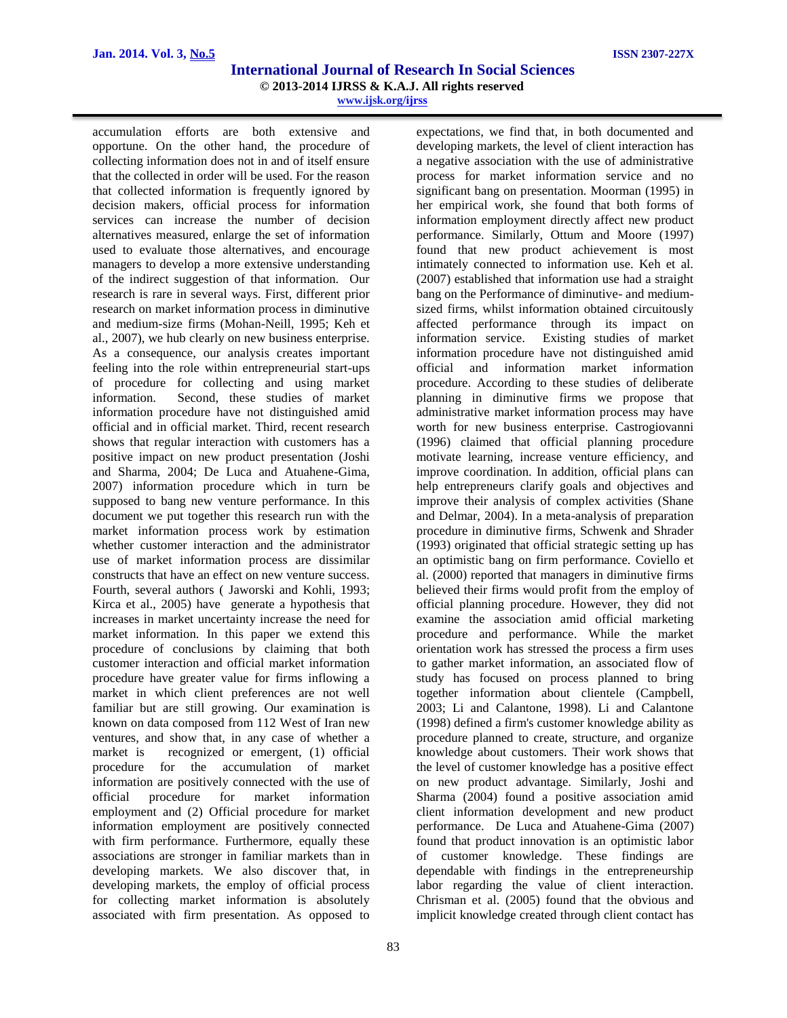accumulation efforts are both extensive and opportune. On the other hand, the procedure of collecting information does not in and of itself ensure that the collected in order will be used. For the reason that collected information is frequently ignored by decision makers, official process for information services can increase the number of decision alternatives measured, enlarge the set of information used to evaluate those alternatives, and encourage managers to develop a more extensive understanding of the indirect suggestion of that information. Our research is rare in several ways. First, different prior research on market information process in diminutive and medium-size firms (Mohan-Neill, 1995; Keh et al., 2007), we hub clearly on new business enterprise. As a consequence, our analysis creates important feeling into the role within entrepreneurial start-ups of procedure for collecting and using market information. Second, these studies of market information procedure have not distinguished amid official and in official market. Third, recent research shows that regular interaction with customers has a positive impact on new product presentation (Joshi and Sharma, 2004; De Luca and Atuahene-Gima, 2007) information procedure which in turn be supposed to bang new venture performance. In this document we put together this research run with the market information process work by estimation whether customer interaction and the administrator use of market information process are dissimilar constructs that have an effect on new venture success. Fourth, several authors ( Jaworski and Kohli, 1993; Kirca et al., 2005) have generate a hypothesis that increases in market uncertainty increase the need for market information. In this paper we extend this procedure of conclusions by claiming that both customer interaction and official market information procedure have greater value for firms inflowing a market in which client preferences are not well familiar but are still growing. Our examination is known on data composed from 112 West of Iran new ventures, and show that, in any case of whether a market is recognized or emergent, (1) official procedure for the accumulation of market information are positively connected with the use of official procedure for market information employment and (2) Official procedure for market information employment are positively connected with firm performance. Furthermore, equally these associations are stronger in familiar markets than in developing markets. We also discover that, in developing markets, the employ of official process for collecting market information is absolutely associated with firm presentation. As opposed to

expectations, we find that, in both documented and developing markets, the level of client interaction has a negative association with the use of administrative process for market information service and no significant bang on presentation. Moorman (1995) in her empirical work, she found that both forms of information employment directly affect new product performance. Similarly, Ottum and Moore (1997) found that new product achievement is most intimately connected to information use. Keh et al. (2007) established that information use had a straight bang on the Performance of diminutive- and mediumsized firms, whilst information obtained circuitously affected performance through its impact on information service. Existing studies of market information procedure have not distinguished amid official and information market information procedure. According to these studies of deliberate planning in diminutive firms we propose that administrative market information process may have worth for new business enterprise. Castrogiovanni (1996) claimed that official planning procedure motivate learning, increase venture efficiency, and improve coordination. In addition, official plans can help entrepreneurs clarify goals and objectives and improve their analysis of complex activities (Shane and Delmar, 2004). In a meta-analysis of preparation procedure in diminutive firms, Schwenk and Shrader (1993) originated that official strategic setting up has an optimistic bang on firm performance. Coviello et al. (2000) reported that managers in diminutive firms believed their firms would profit from the employ of official planning procedure. However, they did not examine the association amid official marketing procedure and performance. While the market orientation work has stressed the process a firm uses to gather market information, an associated flow of study has focused on process planned to bring together information about clientele (Campbell, 2003; Li and Calantone, 1998). Li and Calantone (1998) defined a firm's customer knowledge ability as procedure planned to create, structure, and organize knowledge about customers. Their work shows that the level of customer knowledge has a positive effect on new product advantage. Similarly, Joshi and Sharma (2004) found a positive association amid client information development and new product performance. De Luca and Atuahene-Gima (2007) found that product innovation is an optimistic labor of customer knowledge. These findings are dependable with findings in the entrepreneurship labor regarding the value of client interaction. Chrisman et al. (2005) found that the obvious and implicit knowledge created through client contact has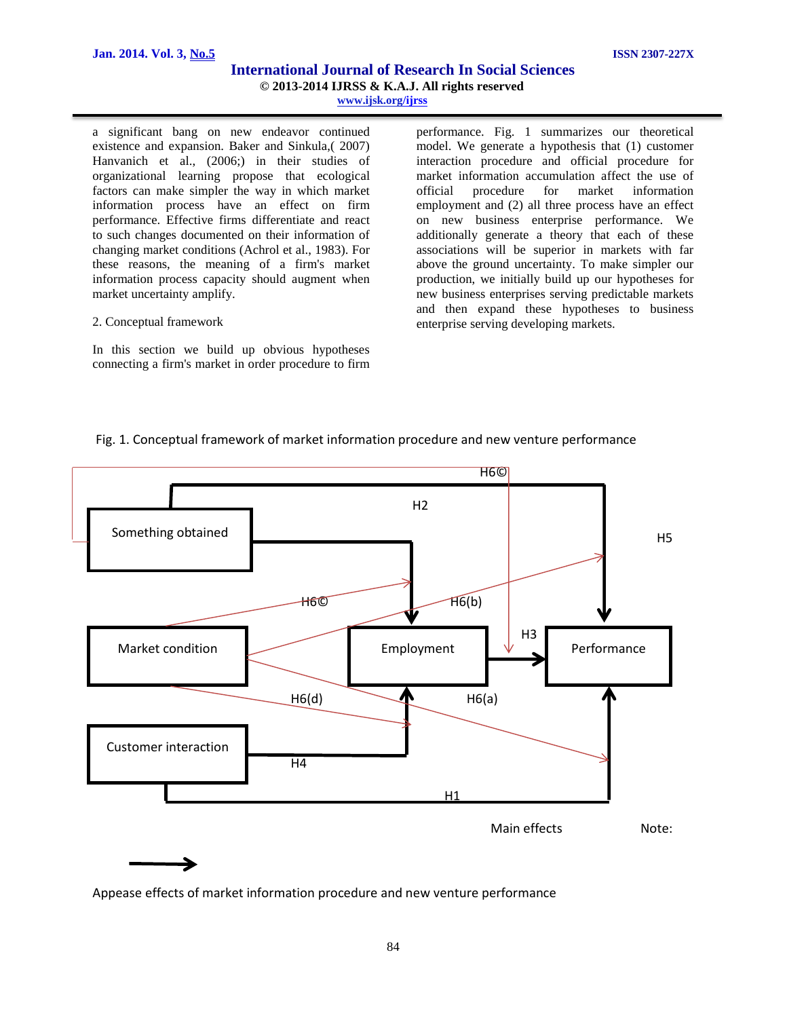a significant bang on new endeavor continued existence and expansion. Baker and Sinkula,( 2007) Hanvanich et al., (2006;) in their studies of organizational learning propose that ecological factors can make simpler the way in which market information process have an effect on firm performance. Effective firms differentiate and react to such changes documented on their information of changing market conditions (Achrol et al., 1983). For these reasons, the meaning of a firm's market information process capacity should augment when market uncertainty amplify.

#### 2. Conceptual framework

In this section we build up obvious hypotheses connecting a firm's market in order procedure to firm

performance. Fig. 1 summarizes our theoretical model. We generate a hypothesis that (1) customer interaction procedure and official procedure for market information accumulation affect the use of official procedure for market information employment and (2) all three process have an effect on new business enterprise performance. We additionally generate a theory that each of these associations will be superior in markets with far above the ground uncertainty. To make simpler our production, we initially build up our hypotheses for new business enterprises serving predictable markets and then expand these hypotheses to business enterprise serving developing markets.

## Fig. 1. Conceptual framework of market information procedure and new venture performance



Appease effects of market information procedure and new venture performance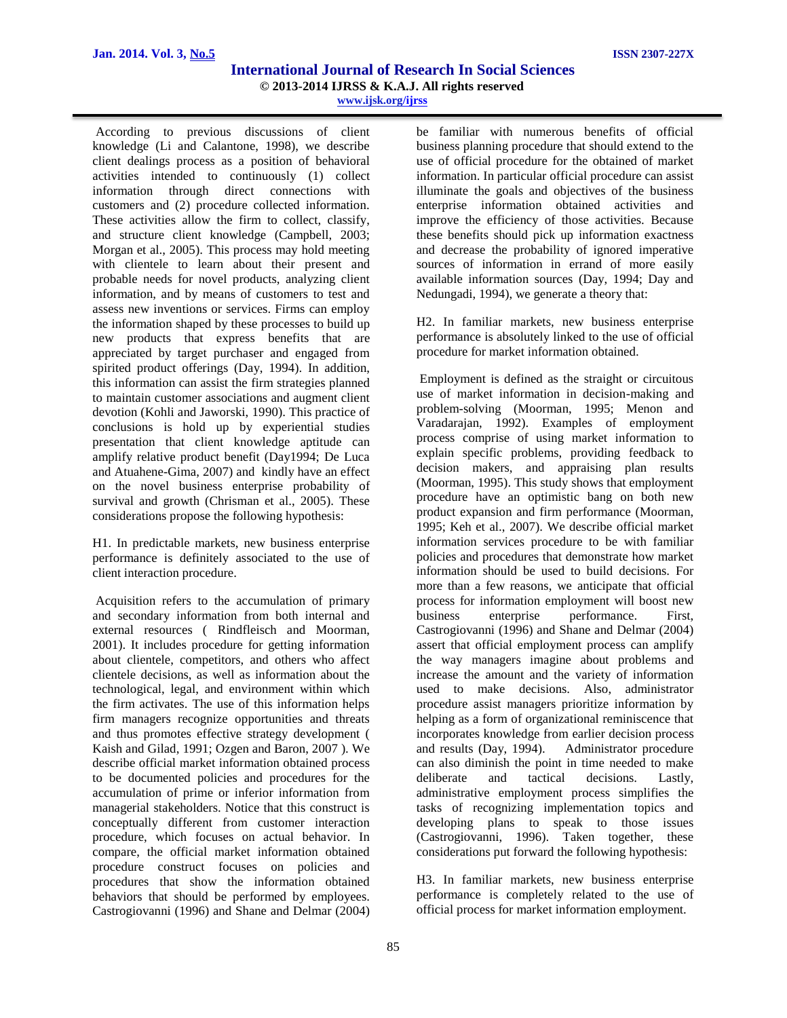According to previous discussions of client knowledge (Li and Calantone, 1998), we describe client dealings process as a position of behavioral activities intended to continuously (1) collect information through direct connections with customers and (2) procedure collected information. These activities allow the firm to collect, classify, and structure client knowledge (Campbell, 2003; Morgan et al., 2005). This process may hold meeting with clientele to learn about their present and probable needs for novel products, analyzing client information, and by means of customers to test and assess new inventions or services. Firms can employ the information shaped by these processes to build up new products that express benefits that are appreciated by target purchaser and engaged from spirited product offerings (Day, 1994). In addition, this information can assist the firm strategies planned to maintain customer associations and augment client devotion (Kohli and Jaworski, 1990). This practice of conclusions is hold up by experiential studies presentation that client knowledge aptitude can amplify relative product benefit (Day1994; De Luca and Atuahene-Gima, 2007) and kindly have an effect on the novel business enterprise probability of survival and growth (Chrisman et al., 2005). These considerations propose the following hypothesis:

H1. In predictable markets, new business enterprise performance is definitely associated to the use of client interaction procedure.

Acquisition refers to the accumulation of primary and secondary information from both internal and external resources ( Rindfleisch and Moorman, 2001). It includes procedure for getting information about clientele, competitors, and others who affect clientele decisions, as well as information about the technological, legal, and environment within which the firm activates. The use of this information helps firm managers recognize opportunities and threats and thus promotes effective strategy development ( Kaish and Gilad, 1991; Ozgen and Baron, 2007 ). We describe official market information obtained process to be documented policies and procedures for the accumulation of prime or inferior information from managerial stakeholders. Notice that this construct is conceptually different from customer interaction procedure, which focuses on actual behavior. In compare, the official market information obtained procedure construct focuses on policies and procedures that show the information obtained behaviors that should be performed by employees. Castrogiovanni (1996) and Shane and Delmar (2004)

be familiar with numerous benefits of official business planning procedure that should extend to the use of official procedure for the obtained of market information. In particular official procedure can assist illuminate the goals and objectives of the business enterprise information obtained activities and improve the efficiency of those activities. Because these benefits should pick up information exactness and decrease the probability of ignored imperative sources of information in errand of more easily available information sources (Day, 1994; Day and Nedungadi, 1994), we generate a theory that:

H2. In familiar markets, new business enterprise performance is absolutely linked to the use of official procedure for market information obtained.

Employment is defined as the straight or circuitous use of market information in decision-making and problem-solving (Moorman, 1995; Menon and Varadarajan, 1992). Examples of employment process comprise of using market information to explain specific problems, providing feedback to decision makers, and appraising plan results (Moorman, 1995). This study shows that employment procedure have an optimistic bang on both new product expansion and firm performance (Moorman, 1995; Keh et al., 2007). We describe official market information services procedure to be with familiar policies and procedures that demonstrate how market information should be used to build decisions. For more than a few reasons, we anticipate that official process for information employment will boost new business enterprise performance. First, Castrogiovanni (1996) and Shane and Delmar (2004) assert that official employment process can amplify the way managers imagine about problems and increase the amount and the variety of information used to make decisions. Also, administrator procedure assist managers prioritize information by helping as a form of organizational reminiscence that incorporates knowledge from earlier decision process and results (Day, 1994). Administrator procedure can also diminish the point in time needed to make deliberate and tactical decisions. Lastly, administrative employment process simplifies the tasks of recognizing implementation topics and developing plans to speak to those issues (Castrogiovanni, 1996). Taken together, these considerations put forward the following hypothesis:

H3. In familiar markets, new business enterprise performance is completely related to the use of official process for market information employment.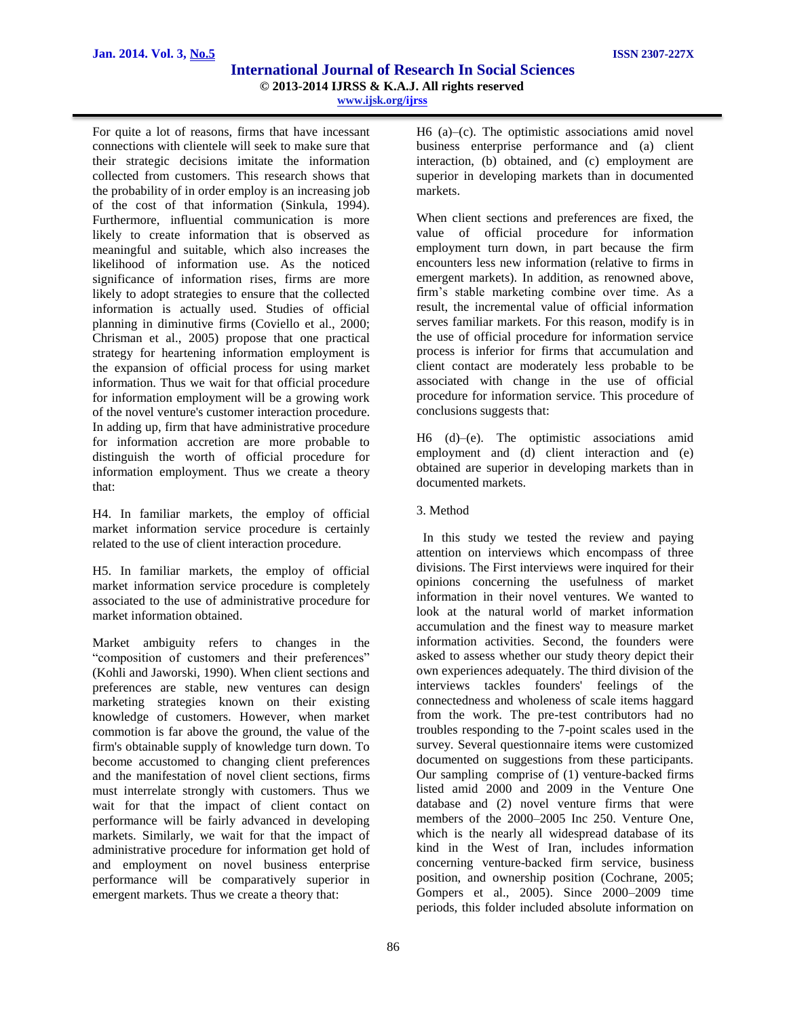For quite a lot of reasons, firms that have incessant connections with clientele will seek to make sure that their strategic decisions imitate the information collected from customers. This research shows that the probability of in order employ is an increasing job of the cost of that information (Sinkula, 1994). Furthermore, influential communication is more likely to create information that is observed as meaningful and suitable, which also increases the likelihood of information use. As the noticed significance of information rises, firms are more likely to adopt strategies to ensure that the collected information is actually used. Studies of official planning in diminutive firms (Coviello et al., 2000; Chrisman et al., 2005) propose that one practical strategy for heartening information employment is the expansion of official process for using market information. Thus we wait for that official procedure for information employment will be a growing work of the novel venture's customer interaction procedure. In adding up, firm that have administrative procedure for information accretion are more probable to distinguish the worth of official procedure for information employment. Thus we create a theory that:

H4. In familiar markets, the employ of official market information service procedure is certainly related to the use of client interaction procedure.

H5. In familiar markets, the employ of official market information service procedure is completely associated to the use of administrative procedure for market information obtained.

Market ambiguity refers to changes in the "composition of customers and their preferences" (Kohli and Jaworski, 1990). When client sections and preferences are stable, new ventures can design marketing strategies known on their existing knowledge of customers. However, when market commotion is far above the ground, the value of the firm's obtainable supply of knowledge turn down. To become accustomed to changing client preferences and the manifestation of novel client sections, firms must interrelate strongly with customers. Thus we wait for that the impact of client contact on performance will be fairly advanced in developing markets. Similarly, we wait for that the impact of administrative procedure for information get hold of and employment on novel business enterprise performance will be comparatively superior in emergent markets. Thus we create a theory that:

H6 (a)–(c). The optimistic associations amid novel business enterprise performance and (a) client interaction, (b) obtained, and (c) employment are superior in developing markets than in documented markets.

When client sections and preferences are fixed, the value of official procedure for information employment turn down, in part because the firm encounters less new information (relative to firms in emergent markets). In addition, as renowned above, firm's stable marketing combine over time. As a result, the incremental value of official information serves familiar markets. For this reason, modify is in the use of official procedure for information service process is inferior for firms that accumulation and client contact are moderately less probable to be associated with change in the use of official procedure for information service. This procedure of conclusions suggests that:

H6 (d)–(e). The optimistic associations amid employment and (d) client interaction and (e) obtained are superior in developing markets than in documented markets.

3. Method

 In this study we tested the review and paying attention on interviews which encompass of three divisions. The First interviews were inquired for their opinions concerning the usefulness of market information in their novel ventures. We wanted to look at the natural world of market information accumulation and the finest way to measure market information activities. Second, the founders were asked to assess whether our study theory depict their own experiences adequately. The third division of the interviews tackles founders' feelings of the connectedness and wholeness of scale items haggard from the work. The pre-test contributors had no troubles responding to the 7-point scales used in the survey. Several questionnaire items were customized documented on suggestions from these participants. Our sampling comprise of (1) venture-backed firms listed amid 2000 and 2009 in the Venture One database and (2) novel venture firms that were members of the 2000–2005 Inc 250. Venture One, which is the nearly all widespread database of its kind in the West of Iran, includes information concerning venture-backed firm service, business position, and ownership position (Cochrane, 2005; Gompers et al., 2005). Since 2000–2009 time periods, this folder included absolute information on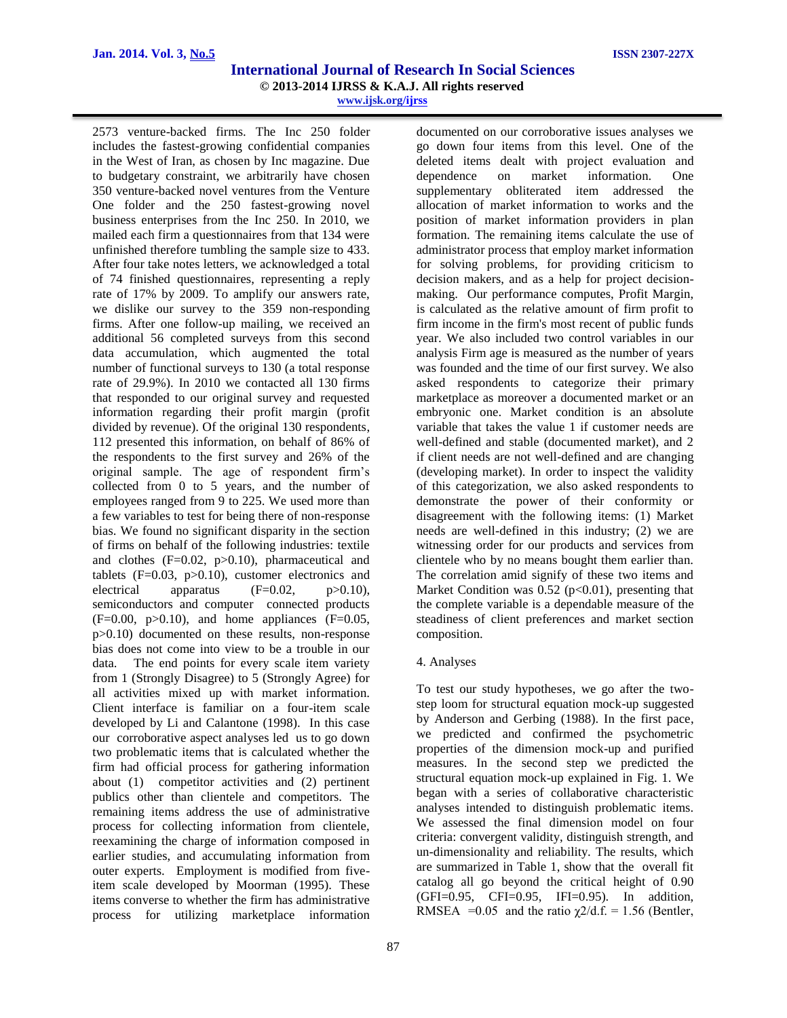2573 venture-backed firms. The Inc 250 folder includes the fastest-growing confidential companies in the West of Iran, as chosen by Inc magazine. Due to budgetary constraint, we arbitrarily have chosen 350 venture-backed novel ventures from the Venture One folder and the 250 fastest-growing novel business enterprises from the Inc 250. In 2010, we mailed each firm a questionnaires from that 134 were unfinished therefore tumbling the sample size to 433. After four take notes letters, we acknowledged a total of 74 finished questionnaires, representing a reply rate of 17% by 2009. To amplify our answers rate, we dislike our survey to the 359 non-responding firms. After one follow-up mailing, we received an additional 56 completed surveys from this second data accumulation, which augmented the total number of functional surveys to 130 (a total response rate of 29.9%). In 2010 we contacted all 130 firms that responded to our original survey and requested information regarding their profit margin (profit divided by revenue). Of the original 130 respondents, 112 presented this information, on behalf of 86% of the respondents to the first survey and 26% of the original sample. The age of respondent firm's collected from 0 to 5 years, and the number of employees ranged from 9 to 225. We used more than a few variables to test for being there of non-response bias. We found no significant disparity in the section of firms on behalf of the following industries: textile and clothes (F=0.02, p>0.10), pharmaceutical and tablets  $(F=0.03, p>0.10)$ , customer electronics and electrical apparatus  $(F=0.02, p>0.10)$ , semiconductors and computer connected products  $(F=0.00, p>0.10)$ , and home appliances  $(F=0.05,$ p>0.10) documented on these results, non-response bias does not come into view to be a trouble in our data. The end points for every scale item variety from 1 (Strongly Disagree) to 5 (Strongly Agree) for all activities mixed up with market information. Client interface is familiar on a four-item scale developed by Li and Calantone (1998). In this case our corroborative aspect analyses led us to go down two problematic items that is calculated whether the firm had official process for gathering information about (1) competitor activities and (2) pertinent publics other than clientele and competitors. The remaining items address the use of administrative process for collecting information from clientele, reexamining the charge of information composed in earlier studies, and accumulating information from outer experts. Employment is modified from fiveitem scale developed by Moorman (1995). These items converse to whether the firm has administrative process for utilizing marketplace information documented on our corroborative issues analyses we go down four items from this level. One of the deleted items dealt with project evaluation and dependence on market information. One supplementary obliterated item addressed the allocation of market information to works and the position of market information providers in plan formation. The remaining items calculate the use of administrator process that employ market information for solving problems, for providing criticism to decision makers, and as a help for project decisionmaking. Our performance computes, Profit Margin, is calculated as the relative amount of firm profit to firm income in the firm's most recent of public funds year. We also included two control variables in our analysis Firm age is measured as the number of years was founded and the time of our first survey. We also asked respondents to categorize their primary marketplace as moreover a documented market or an embryonic one. Market condition is an absolute variable that takes the value 1 if customer needs are well-defined and stable (documented market), and 2 if client needs are not well-defined and are changing (developing market). In order to inspect the validity of this categorization, we also asked respondents to demonstrate the power of their conformity or disagreement with the following items: (1) Market needs are well-defined in this industry; (2) we are witnessing order for our products and services from clientele who by no means bought them earlier than. The correlation amid signify of these two items and Market Condition was  $0.52$  ( $p<0.01$ ), presenting that the complete variable is a dependable measure of the steadiness of client preferences and market section composition.

#### 4. Analyses

To test our study hypotheses, we go after the twostep loom for structural equation mock-up suggested by Anderson and Gerbing (1988). In the first pace, we predicted and confirmed the psychometric properties of the dimension mock-up and purified measures. In the second step we predicted the structural equation mock-up explained in Fig. 1. We began with a series of collaborative characteristic analyses intended to distinguish problematic items. We assessed the final dimension model on four criteria: convergent validity, distinguish strength, and un-dimensionality and reliability. The results, which are summarized in Table 1, show that the overall fit catalog all go beyond the critical height of 0.90 (GFI=0.95, CFI=0.95, IFI=0.95). In addition, RMSEA = 0.05 and the ratio  $\chi$ 2/d.f. = 1.56 (Bentler,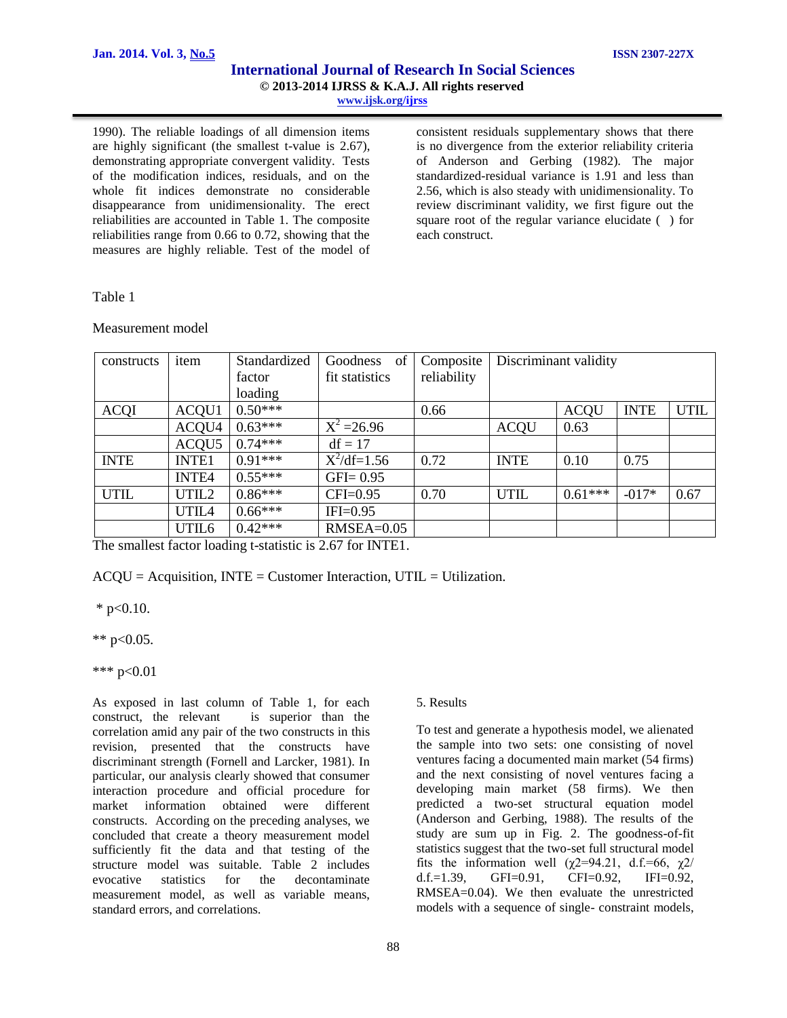1990). The reliable loadings of all dimension items are highly significant (the smallest t-value is 2.67), demonstrating appropriate convergent validity. Tests of the modification indices, residuals, and on the whole fit indices demonstrate no considerable disappearance from unidimensionality. The erect reliabilities are accounted in Table 1. The composite reliabilities range from 0.66 to 0.72, showing that the measures are highly reliable. Test of the model of consistent residuals supplementary shows that there is no divergence from the exterior reliability criteria of Anderson and Gerbing (1982). The major standardized-residual variance is 1.91 and less than 2.56, which is also steady with unidimensionality. To review discriminant validity, we first figure out the square root of the regular variance elucidate ( ) for each construct.

#### Table 1

Measurement model

| constructs  | item         | Standardized | Goodness<br>of | Composite   | Discriminant validity |             |             |             |
|-------------|--------------|--------------|----------------|-------------|-----------------------|-------------|-------------|-------------|
|             |              | factor       | fit statistics | reliability |                       |             |             |             |
|             |              | loading      |                |             |                       |             |             |             |
| <b>ACQI</b> | ACQU1        | $0.50***$    |                | 0.66        |                       | <b>ACQU</b> | <b>INTE</b> | <b>UTIL</b> |
|             | ACQU4        | $0.63***$    | $X^2 = 26.96$  |             | <b>ACQU</b>           | 0.63        |             |             |
|             | ACQU5        | $0.74***$    | $df = 17$      |             |                       |             |             |             |
| <b>INTE</b> | <b>INTE1</b> | $0.91***$    | $X^2/df=1.56$  | 0.72        | <b>INTE</b>           | 0.10        | 0.75        |             |
|             | <b>INTE4</b> | $0.55***$    | $GFI = 0.95$   |             |                       |             |             |             |
| <b>UTIL</b> | UTIL2        | $0.86***$    | $CFI=0.95$     | 0.70        | <b>UTIL</b>           | $0.61***$   | $-017*$     | 0.67        |
|             | UTIL4        | $0.66***$    | $IFI=0.95$     |             |                       |             |             |             |
|             | UTIL6        | $0.42***$    | $RMSEA=0.05$   |             |                       |             |             |             |

The smallest factor loading t-statistic is 2.67 for INTE1.

 $ACOU = Acquisition$ , INTE = Customer Interaction, UTIL = Utilization.

 $*$  p<0.10.

\*\*  $p<0.05$ .

\*\*\* p<0.01

As exposed in last column of Table 1, for each construct, the relevant is superior than the correlation amid any pair of the two constructs in this revision, presented that the constructs have discriminant strength (Fornell and Larcker, 1981). In particular, our analysis clearly showed that consumer interaction procedure and official procedure for market information obtained were different constructs. According on the preceding analyses, we concluded that create a theory measurement model sufficiently fit the data and that testing of the structure model was suitable. Table 2 includes evocative statistics for the decontaminate measurement model, as well as variable means, standard errors, and correlations.

#### 5. Results

To test and generate a hypothesis model, we alienated the sample into two sets: one consisting of novel ventures facing a documented main market (54 firms) and the next consisting of novel ventures facing a developing main market (58 firms). We then predicted a two-set structural equation model (Anderson and Gerbing, 1988). The results of the study are sum up in Fig. 2. The goodness-of-fit statistics suggest that the two-set full structural model fits the information well ( $\chi$ 2=94.21, d.f.=66,  $\chi$ 2/<br>d.f.=1.39, GFI=0.91, CFI=0.92, IFI=0.92. d.f.=1.39,  $GFI=0.91$ ,  $CFI=0.92$ , RMSEA=0.04). We then evaluate the unrestricted models with a sequence of single- constraint models,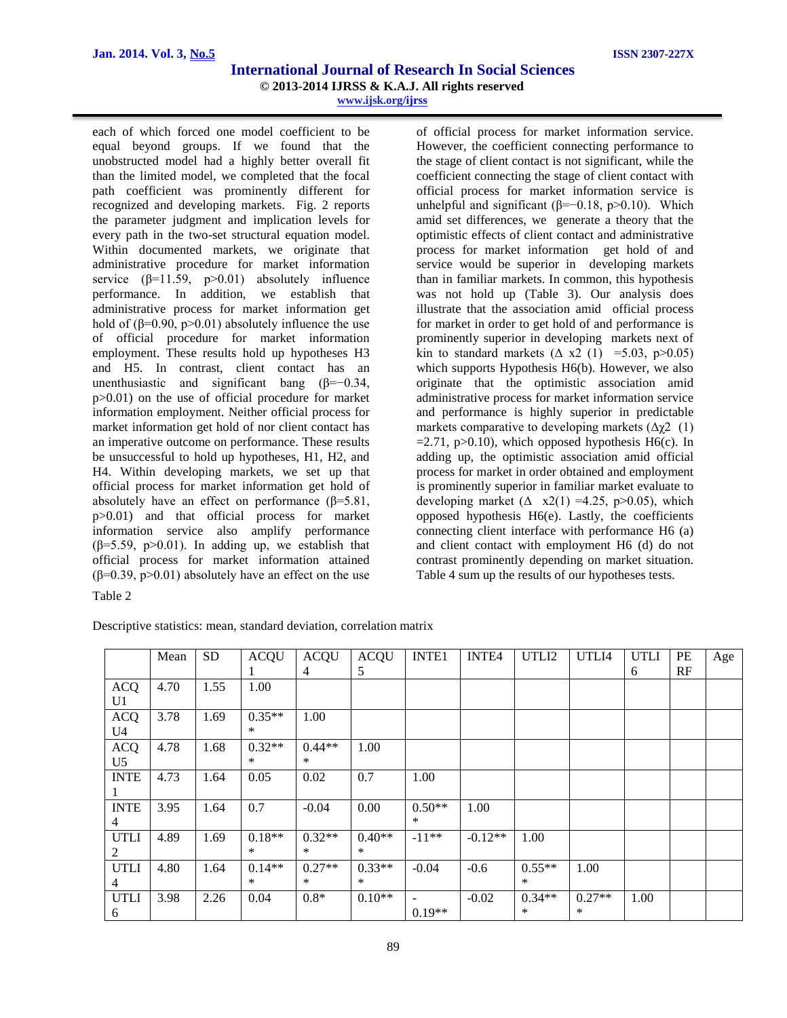each of which forced one model coefficient to be equal beyond groups. If we found that the unobstructed model had a highly better overall fit than the limited model, we completed that the focal path coefficient was prominently different for recognized and developing markets. Fig. 2 reports the parameter judgment and implication levels for every path in the two-set structural equation model. Within documented markets, we originate that administrative procedure for market information service  $(\beta=11.59, p>0.01)$  absolutely influence performance. In addition, we establish that administrative process for market information get hold of ( $\beta$ =0.90, p>0.01) absolutely influence the use of official procedure for market information employment. These results hold up hypotheses H3 and H5. In contrast, client contact has an unenthusiastic and significant bang ( $\beta = -0.34$ , p>0.01) on the use of official procedure for market information employment. Neither official process for market information get hold of nor client contact has an imperative outcome on performance. These results be unsuccessful to hold up hypotheses, H1, H2, and H4. Within developing markets, we set up that official process for market information get hold of absolutely have an effect on performance  $(\beta=5.81)$ , p>0.01) and that official process for market information service also amplify performance ( $\beta$ =5.59, p>0.01). In adding up, we establish that official process for market information attained  $(\beta=0.39, p>0.01)$  absolutely have an effect on the use Table 2

of official process for market information service. However, the coefficient connecting performance to the stage of client contact is not significant, while the coefficient connecting the stage of client contact with official process for market information service is unhelpful and significant ( $β=-0.18$ ,  $p>0.10$ ). Which amid set differences, we generate a theory that the optimistic effects of client contact and administrative process for market information get hold of and service would be superior in developing markets than in familiar markets. In common, this hypothesis was not hold up (Table 3). Our analysis does illustrate that the association amid official process for market in order to get hold of and performance is prominently superior in developing markets next of kin to standard markets  $(\Delta x^2)(1) = 5.03$ , p $>0.05$ ) which supports Hypothesis H6(b). However, we also originate that the optimistic association amid administrative process for market information service and performance is highly superior in predictable markets comparative to developing markets  $(\Delta \gamma^2)(1)$  $=2.71$ , p $>0.10$ ), which opposed hypothesis H6(c). In adding up, the optimistic association amid official process for market in order obtained and employment is prominently superior in familiar market evaluate to developing market  $(\Delta \times 2(1) = 4.25, p > 0.05)$ , which opposed hypothesis H6(e). Lastly, the coefficients connecting client interface with performance H6 (a) and client contact with employment H6 (d) do not contrast prominently depending on market situation. Table 4 sum up the results of our hypotheses tests.

|                | Mean | <b>SD</b> | <b>ACQU</b> | <b>ACQU</b> | <b>ACQU</b> | <b>INTE1</b>   | INTE4     | UTLI2    | UTLI4    | <b>UTLI</b> | PE | Age |
|----------------|------|-----------|-------------|-------------|-------------|----------------|-----------|----------|----------|-------------|----|-----|
|                |      |           |             | 4           | 5           |                |           |          |          | 6           | RF |     |
| <b>ACQ</b>     | 4.70 | 1.55      | 1.00        |             |             |                |           |          |          |             |    |     |
| U1             |      |           |             |             |             |                |           |          |          |             |    |     |
| <b>ACQ</b>     | 3.78 | 1.69      | $0.35**$    | 1.00        |             |                |           |          |          |             |    |     |
| U4             |      |           | $\ast$      |             |             |                |           |          |          |             |    |     |
| <b>ACQ</b>     | 4.78 | 1.68      | $0.32**$    | $0.44**$    | 1.00        |                |           |          |          |             |    |     |
| U <sub>5</sub> |      |           | $\ast$      | $\ast$      |             |                |           |          |          |             |    |     |
| <b>INTE</b>    | 4.73 | 1.64      | 0.05        | 0.02        | 0.7         | 1.00           |           |          |          |             |    |     |
|                |      |           |             |             |             |                |           |          |          |             |    |     |
| <b>INTE</b>    | 3.95 | 1.64      | 0.7         | $-0.04$     | 0.00        | $0.50**$       | 1.00      |          |          |             |    |     |
| $\overline{4}$ |      |           |             |             |             | $\ast$         |           |          |          |             |    |     |
| <b>UTLI</b>    | 4.89 | 1.69      | $0.18**$    | $0.32**$    | $0.40**$    | $-11**$        | $-0.12**$ | 1.00     |          |             |    |     |
| 2              |      |           | $\ast$      | $\ast$      | $\ast$      |                |           |          |          |             |    |     |
| <b>UTLI</b>    | 4.80 | 1.64      | $0.14**$    | $0.27**$    | $0.33**$    | $-0.04$        | $-0.6$    | $0.55**$ | 1.00     |             |    |     |
| 4              |      |           | $\ast$      | $\ast$      | $\ast$      |                |           | $\ast$   |          |             |    |     |
| <b>UTLI</b>    | 3.98 | 2.26      | 0.04        | $0.8*$      | $0.10**$    | $\blacksquare$ | $-0.02$   | $0.34**$ | $0.27**$ | 1.00        |    |     |
| 6              |      |           |             |             |             | $0.19**$       |           | $\ast$   | $\ast$   |             |    |     |

Descriptive statistics: mean, standard deviation, correlation matrix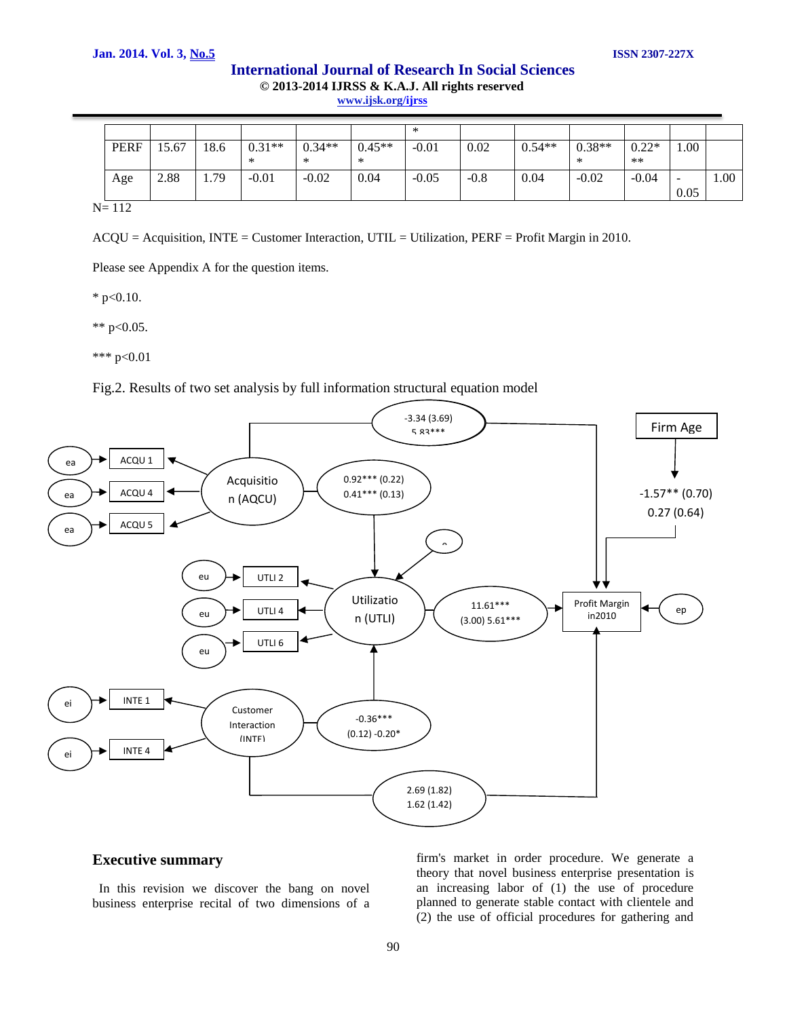|             |      |      |               |               |               | ∗       |        |          |               |                 |                         |      |
|-------------|------|------|---------------|---------------|---------------|---------|--------|----------|---------------|-----------------|-------------------------|------|
| <b>PERF</b> | 5.67 | 18.6 | $0.31**$<br>∗ | $0.34**$<br>∗ | $0.45**$<br>∗ | $-0.01$ | 0.02   | $0.54**$ | $0.38**$<br>∗ | $0.22*$<br>$**$ | 1.00                    |      |
| Age         | 2.88 | 1.79 | $-0.01$       | $-0.02$       | 0.04          | $-0.05$ | $-0.8$ | 0.04     | $-0.02$       | $-0.04$         | $\qquad \qquad$<br>0.05 | 1.00 |

 $N= 112$ 

ACQU = Acquisition, INTE = Customer Interaction, UTIL = Utilization, PERF = Profit Margin in 2010.

Please see Appendix A for the question items.

 $*$  p<0.10.

\*\*  $p<0.05$ .

\*\*\* p<0.01

Fig.2. Results of two set analysis by full information structural equation model



## **Executive summary**

 In this revision we discover the bang on novel business enterprise recital of two dimensions of a

firm's market in order procedure. We generate a theory that novel business enterprise presentation is an increasing labor of (1) the use of procedure planned to generate stable contact with clientele and (2) the use of official procedures for gathering and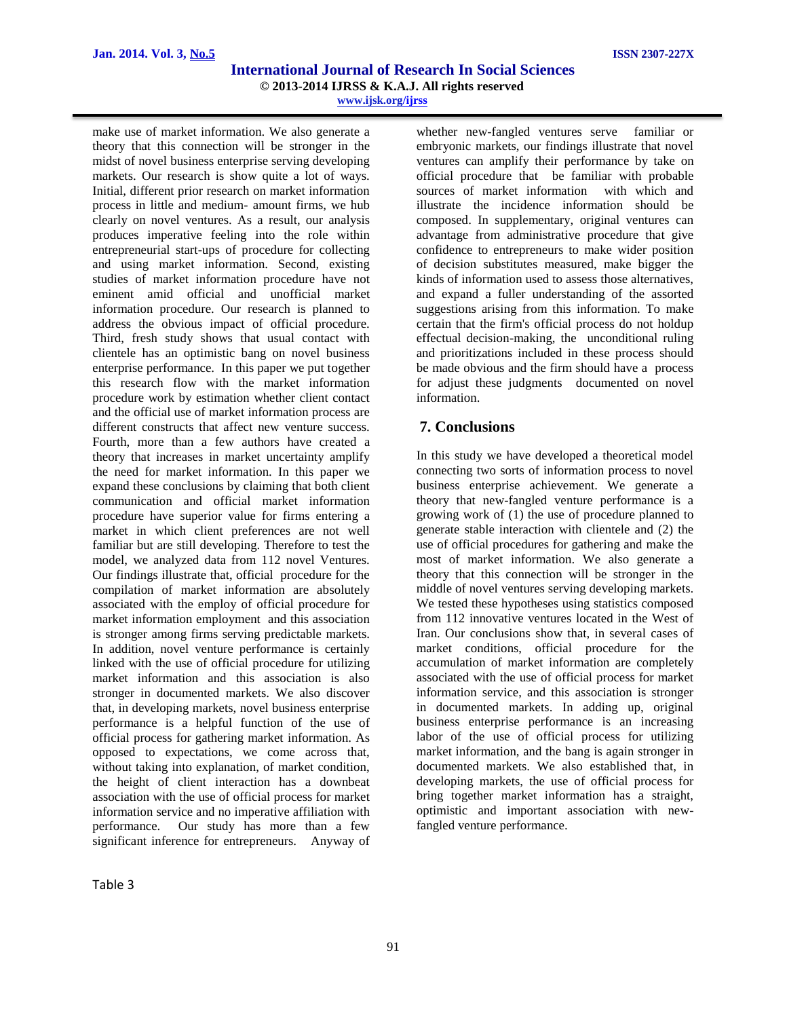make use of market information. We also generate a theory that this connection will be stronger in the midst of novel business enterprise serving developing markets. Our research is show quite a lot of ways. Initial, different prior research on market information process in little and medium- amount firms, we hub clearly on novel ventures. As a result, our analysis produces imperative feeling into the role within entrepreneurial start-ups of procedure for collecting and using market information. Second, existing studies of market information procedure have not eminent amid official and unofficial market information procedure. Our research is planned to address the obvious impact of official procedure. Third, fresh study shows that usual contact with clientele has an optimistic bang on novel business enterprise performance. In this paper we put together this research flow with the market information procedure work by estimation whether client contact and the official use of market information process are different constructs that affect new venture success. Fourth, more than a few authors have created a theory that increases in market uncertainty amplify the need for market information. In this paper we expand these conclusions by claiming that both client communication and official market information procedure have superior value for firms entering a market in which client preferences are not well familiar but are still developing. Therefore to test the model, we analyzed data from 112 novel Ventures. Our findings illustrate that, official procedure for the compilation of market information are absolutely associated with the employ of official procedure for market information employment and this association is stronger among firms serving predictable markets. In addition, novel venture performance is certainly linked with the use of official procedure for utilizing market information and this association is also stronger in documented markets. We also discover that, in developing markets, novel business enterprise performance is a helpful function of the use of official process for gathering market information. As opposed to expectations, we come across that, without taking into explanation, of market condition, the height of client interaction has a downbeat association with the use of official process for market information service and no imperative affiliation with performance. Our study has more than a few significant inference for entrepreneurs. Anyway of

whether new-fangled ventures serve familiar or embryonic markets, our findings illustrate that novel ventures can amplify their performance by take on official procedure that be familiar with probable sources of market information with which and illustrate the incidence information should be composed. In supplementary, original ventures can advantage from administrative procedure that give confidence to entrepreneurs to make wider position of decision substitutes measured, make bigger the kinds of information used to assess those alternatives, and expand a fuller understanding of the assorted suggestions arising from this information. To make certain that the firm's official process do not holdup effectual decision-making, the unconditional ruling and prioritizations included in these process should be made obvious and the firm should have a process for adjust these judgments documented on novel information.

# **7. Conclusions**

In this study we have developed a theoretical model connecting two sorts of information process to novel business enterprise achievement. We generate a theory that new-fangled venture performance is a growing work of (1) the use of procedure planned to generate stable interaction with clientele and (2) the use of official procedures for gathering and make the most of market information. We also generate a theory that this connection will be stronger in the middle of novel ventures serving developing markets. We tested these hypotheses using statistics composed from 112 innovative ventures located in the West of Iran. Our conclusions show that, in several cases of market conditions, official procedure for the accumulation of market information are completely associated with the use of official process for market information service, and this association is stronger in documented markets. In adding up, original business enterprise performance is an increasing labor of the use of official process for utilizing market information, and the bang is again stronger in documented markets. We also established that, in developing markets, the use of official process for bring together market information has a straight, optimistic and important association with newfangled venture performance.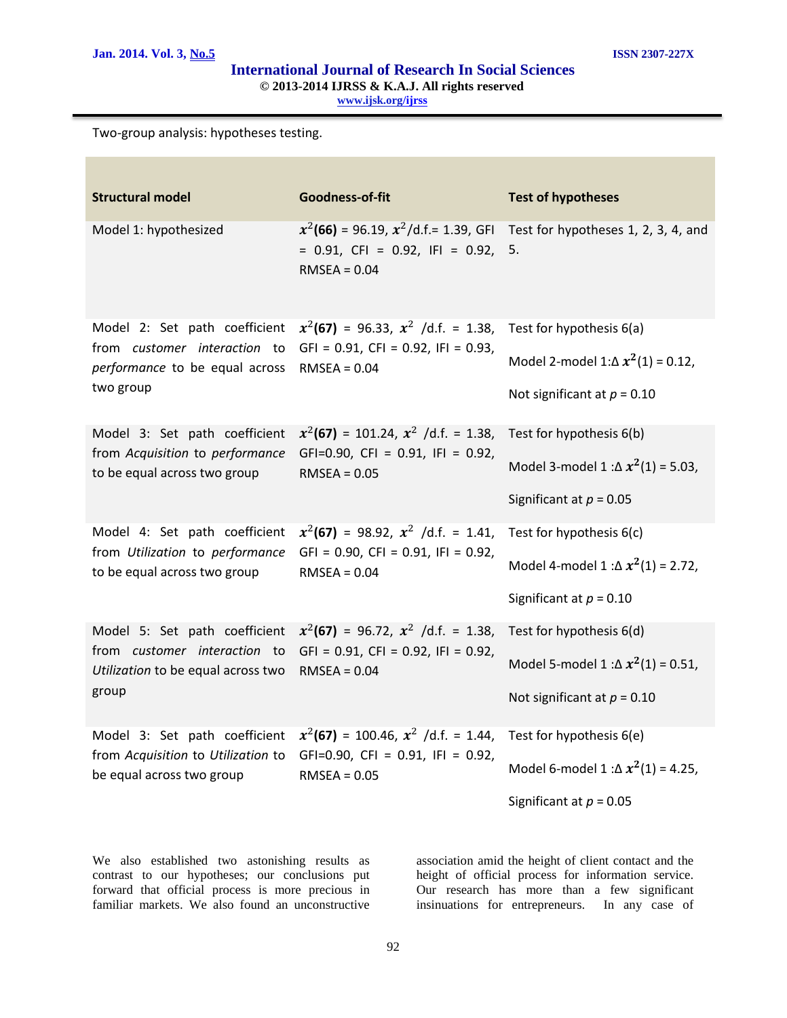Two-group analysis: hypotheses testing.

| <b>Structural model</b>                                             | Goodness-of-fit                                                                                       | <b>Test of hypotheses</b>                  |
|---------------------------------------------------------------------|-------------------------------------------------------------------------------------------------------|--------------------------------------------|
| Model 1: hypothesized                                               | $x^2$ (66) = 96.19, $x^2$ /d.f.= 1.39, GFI<br>$= 0.91$ , CFI = 0.92, IFI = 0.92, 5.<br>$RMSEA = 0.04$ | Test for hypotheses 1, 2, 3, 4, and        |
| Model 2: Set path coefficient                                       | $x^2$ (67) = 96.33, $x^2$ /d.f. = 1.38,                                                               | Test for hypothesis 6(a)                   |
| from customer interaction to<br>performance to be equal across      | $GFI = 0.91$ , $CFI = 0.92$ , $IFI = 0.93$ ,<br>$RMSEA = 0.04$                                        | Model 2-model 1: $\Delta x^2(1) = 0.12$ ,  |
| two group                                                           |                                                                                                       | Not significant at $p = 0.10$              |
| Model 3: Set path coefficient<br>from Acquisition to performance    | $x^2$ (67) = 101.24, $x^2$ /d.f. = 1.38,<br>GFI=0.90, CFI = 0.91, IFI = 0.92,                         | Test for hypothesis 6(b)                   |
| to be equal across two group                                        | $RMSEA = 0.05$                                                                                        | Model 3-model 1 : $\Delta x^2(1)$ = 5.03,  |
|                                                                     |                                                                                                       | Significant at $p = 0.05$                  |
| Model 4: Set path coefficient                                       | $x^2$ (67) = 98.92, $x^2$ /d.f. = 1.41,                                                               | Test for hypothesis 6(c)                   |
| from Utilization to performance<br>to be equal across two group     | $GFI = 0.90$ , $CFI = 0.91$ , $IFI = 0.92$ ,<br>$RMSEA = 0.04$                                        | Model 4-model 1 : $\Delta x^2(1)$ = 2.72,  |
|                                                                     |                                                                                                       | Significant at $p = 0.10$                  |
| Model 5: Set path coefficient<br>from customer interaction to       | $x^2$ (67) = 96.72, $x^2$ /d.f. = 1.38,<br>$GFI = 0.91$ , $CFI = 0.92$ , $IFI = 0.92$ ,               | Test for hypothesis 6(d)                   |
| Utilization to be equal across two                                  | $RMSEA = 0.04$                                                                                        | Model 5-model 1 : $\Delta x^2(1) = 0.51$ , |
| group                                                               |                                                                                                       | Not significant at $p = 0.10$              |
| Model 3: Set path coefficient<br>from Acquisition to Utilization to | $x^2$ (67) = 100.46, $x^2$ /d.f. = 1.44,<br>GFI=0.90, CFI = $0.91$ , IFI = 0.92,                      | Test for hypothesis 6(e)                   |
| be equal across two group                                           | $RMSEA = 0.05$                                                                                        | Model 6-model 1 : $\Delta x^2(1)$ = 4.25,  |
|                                                                     |                                                                                                       | Significant at $p = 0.05$                  |

We also established two astonishing results as contrast to our hypotheses; our conclusions put forward that official process is more precious in familiar markets. We also found an unconstructive

association amid the height of client contact and the height of official process for information service. Our research has more than a few significant insinuations for entrepreneurs. In any case of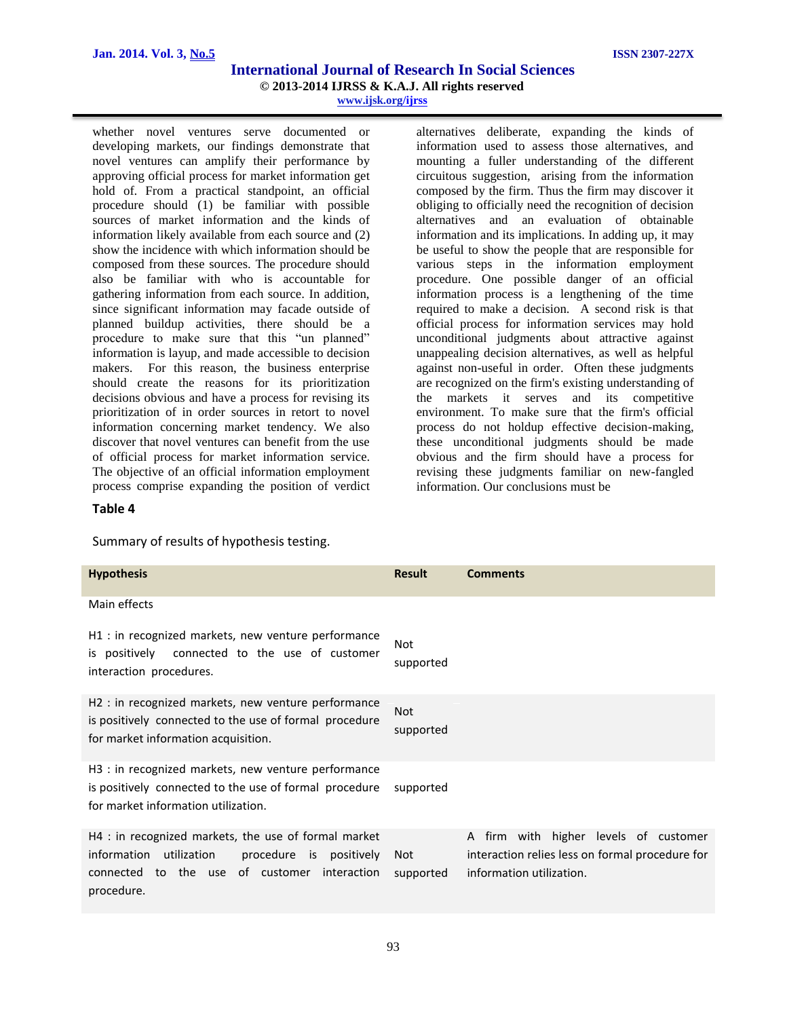whether novel ventures serve documented or developing markets, our findings demonstrate that novel ventures can amplify their performance by approving official process for market information get hold of. From a practical standpoint, an official procedure should (1) be familiar with possible sources of market information and the kinds of information likely available from each source and (2) show the incidence with which information should be composed from these sources. The procedure should also be familiar with who is accountable for gathering information from each source. In addition, since significant information may facade outside of planned buildup activities, there should be a procedure to make sure that this "un planned" information is layup, and made accessible to decision makers. For this reason, the business enterprise should create the reasons for its prioritization decisions obvious and have a process for revising its prioritization of in order sources in retort to novel information concerning market tendency. We also discover that novel ventures can benefit from the use of official process for market information service. The objective of an official information employment process comprise expanding the position of verdict

alternatives deliberate, expanding the kinds of information used to assess those alternatives, and mounting a fuller understanding of the different circuitous suggestion, arising from the information composed by the firm. Thus the firm may discover it obliging to officially need the recognition of decision alternatives and an evaluation of obtainable information and its implications. In adding up, it may be useful to show the people that are responsible for various steps in the information employment procedure. One possible danger of an official information process is a lengthening of the time required to make a decision. A second risk is that official process for information services may hold unconditional judgments about attractive against unappealing decision alternatives, as well as helpful against non-useful in order. Often these judgments are recognized on the firm's existing understanding of the markets it serves and its competitive environment. To make sure that the firm's official process do not holdup effective decision-making, these unconditional judgments should be made obvious and the firm should have a process for revising these judgments familiar on new-fangled information. Our conclusions must be

#### **Table 4**

Summary of results of hypothesis testing.

| <b>Hypothesis</b>                                                                                                                                                           | <b>Result</b>           | <b>Comments</b>                                                                                                      |
|-----------------------------------------------------------------------------------------------------------------------------------------------------------------------------|-------------------------|----------------------------------------------------------------------------------------------------------------------|
| Main effects                                                                                                                                                                |                         |                                                                                                                      |
| H1 : in recognized markets, new venture performance<br>is positively connected to the use of customer<br>interaction procedures.                                            | <b>Not</b><br>supported |                                                                                                                      |
| H <sub>2</sub> : in recognized markets, new venture performance<br>is positively connected to the use of formal procedure<br>for market information acquisition.            | Not<br>supported        |                                                                                                                      |
| H <sub>3</sub> : in recognized markets, new venture performance<br>is positively connected to the use of formal procedure<br>for market information utilization.            | supported               |                                                                                                                      |
| H4 : in recognized markets, the use of formal market<br>information<br>utilization<br>procedure is positively<br>connected to the use of customer interaction<br>procedure. | Not<br>supported        | A firm with higher levels of customer<br>interaction relies less on formal procedure for<br>information utilization. |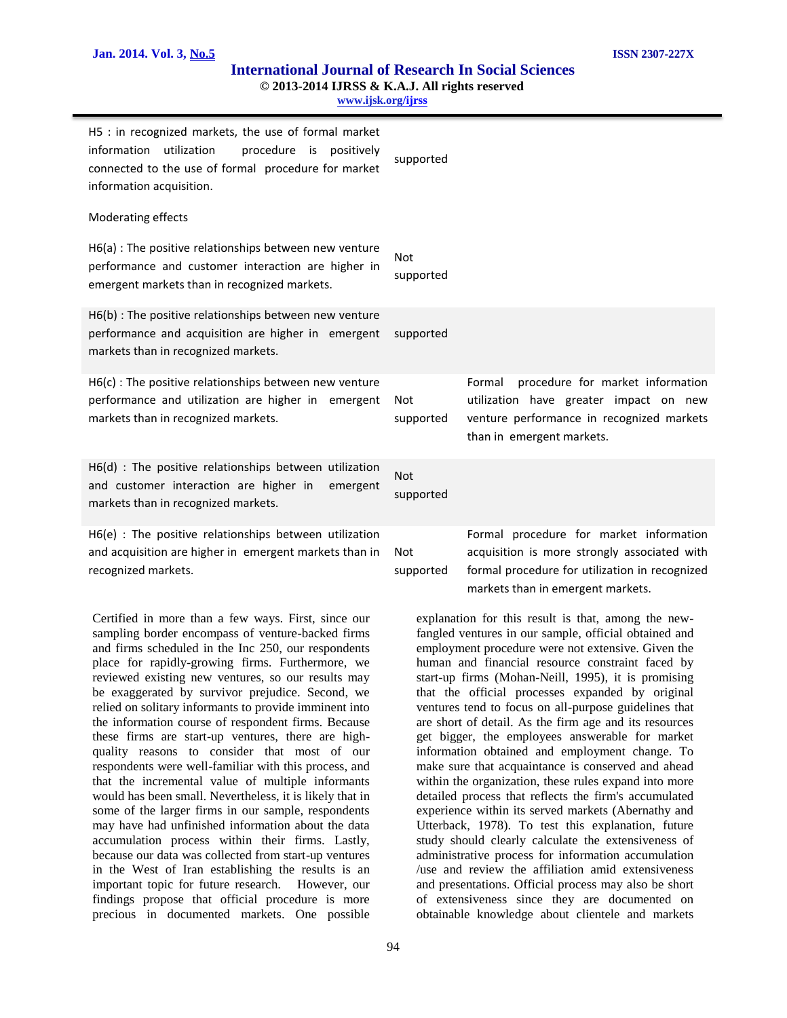**www.ijsk.org/ijrss** 

| H5 : in recognized markets, the use of formal market<br>information utilization<br>procedure is positively<br>connected to the use of formal procedure for market<br>information acquisition. | supported               |                                                                                                                                                                                |
|-----------------------------------------------------------------------------------------------------------------------------------------------------------------------------------------------|-------------------------|--------------------------------------------------------------------------------------------------------------------------------------------------------------------------------|
| Moderating effects                                                                                                                                                                            |                         |                                                                                                                                                                                |
| $H6(a)$ : The positive relationships between new venture<br>performance and customer interaction are higher in<br>emergent markets than in recognized markets.                                | <b>Not</b><br>supported |                                                                                                                                                                                |
| H6(b) : The positive relationships between new venture<br>performance and acquisition are higher in emergent<br>markets than in recognized markets.                                           | supported               |                                                                                                                                                                                |
| $H6(c)$ : The positive relationships between new venture<br>performance and utilization are higher in emergent<br>markets than in recognized markets.                                         | Not<br>supported        | procedure for market information<br>Formal<br>utilization have greater impact on new<br>venture performance in recognized markets<br>than in emergent markets.                 |
| $H6(d)$ : The positive relationships between utilization<br>and customer interaction are higher in emergent<br>markets than in recognized markets.                                            | <b>Not</b><br>supported |                                                                                                                                                                                |
| $H6(e)$ : The positive relationships between utilization<br>and acquisition are higher in emergent markets than in<br>recognized markets.                                                     | Not<br>supported        | Formal procedure for market information<br>acquisition is more strongly associated with<br>formal procedure for utilization in recognized<br>markets than in emergent markets. |

Certified in more than a few ways. First, since our sampling border encompass of venture-backed firms and firms scheduled in the Inc 250, our respondents place for rapidly-growing firms. Furthermore, we reviewed existing new ventures, so our results may be exaggerated by survivor prejudice. Second, we relied on solitary informants to provide imminent into the information course of respondent firms. Because these firms are start-up ventures, there are highquality reasons to consider that most of our respondents were well-familiar with this process, and that the incremental value of multiple informants would has been small. Nevertheless, it is likely that in some of the larger firms in our sample, respondents may have had unfinished information about the data accumulation process within their firms. Lastly, because our data was collected from start-up ventures in the West of Iran establishing the results is an important topic for future research. However, our findings propose that official procedure is more precious in documented markets. One possible

fangled ventures in our sample, official obtained and employment procedure were not extensive. Given the human and financial resource constraint faced by start-up firms (Mohan-Neill, 1995), it is promising that the official processes expanded by original ventures tend to focus on all-purpose guidelines that are short of detail. As the firm age and its resources get bigger, the employees answerable for market information obtained and employment change. To make sure that acquaintance is conserved and ahead within the organization, these rules expand into more detailed process that reflects the firm's accumulated experience within its served markets (Abernathy and Utterback, 1978). To test this explanation, future study should clearly calculate the extensiveness of administrative process for information accumulation /use and review the affiliation amid extensiveness and presentations. Official process may also be short of extensiveness since they are documented on obtainable knowledge about clientele and markets

explanation for this result is that, among the new-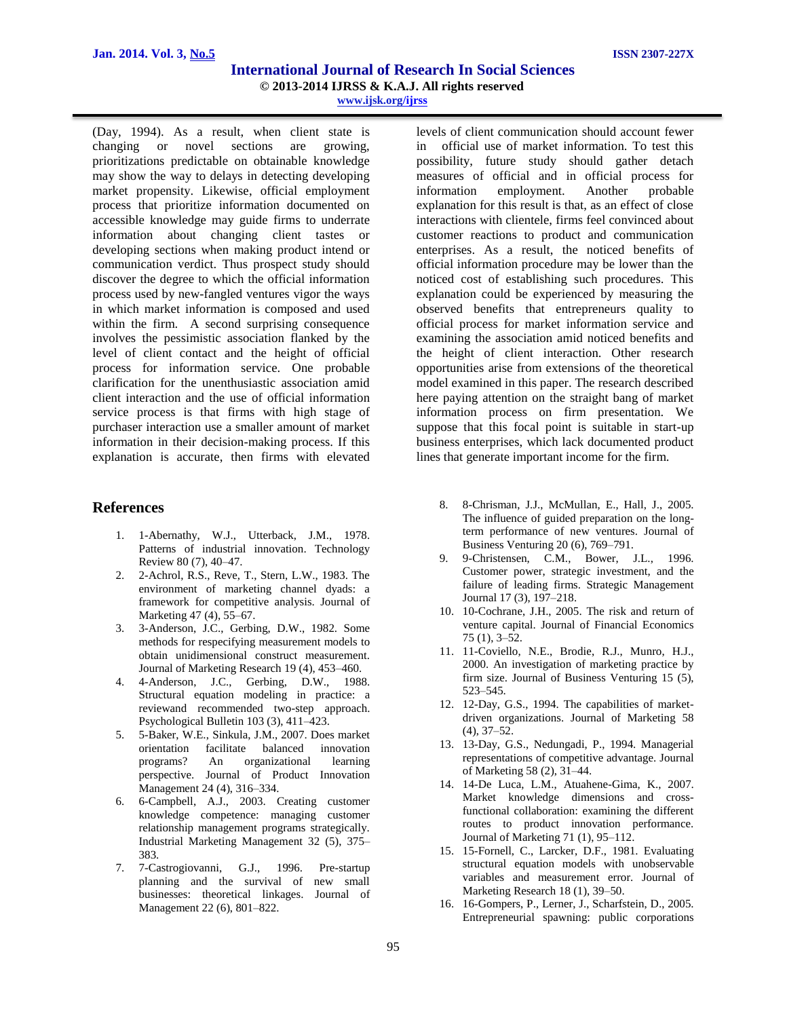(Day, 1994). As a result, when client state is changing or novel sections are growing, prioritizations predictable on obtainable knowledge may show the way to delays in detecting developing market propensity. Likewise, official employment process that prioritize information documented on accessible knowledge may guide firms to underrate information about changing client tastes or developing sections when making product intend or communication verdict. Thus prospect study should discover the degree to which the official information process used by new-fangled ventures vigor the ways in which market information is composed and used within the firm. A second surprising consequence involves the pessimistic association flanked by the level of client contact and the height of official process for information service. One probable clarification for the unenthusiastic association amid client interaction and the use of official information service process is that firms with high stage of purchaser interaction use a smaller amount of market information in their decision-making process. If this explanation is accurate, then firms with elevated

# **References**

- 1. 1-Abernathy, W.J., Utterback, J.M., 1978. Patterns of industrial innovation. Technology Review 80 (7), 40–47.
- 2. 2-Achrol, R.S., Reve, T., Stern, L.W., 1983. The environment of marketing channel dyads: a framework for competitive analysis. Journal of Marketing 47 (4), 55–67.
- 3. 3-Anderson, J.C., Gerbing, D.W., 1982. Some methods for respecifying measurement models to obtain unidimensional construct measurement. Journal of Marketing Research 19 (4), 453–460.
- 4. 4-Anderson, J.C., Gerbing, D.W., 1988. Structural equation modeling in practice: a reviewand recommended two-step approach. Psychological Bulletin 103 (3), 411–423.
- 5. 5-Baker, W.E., Sinkula, J.M., 2007. Does market orientation facilitate balanced innovation programs? An organizational learning perspective. Journal of Product Innovation Management 24 (4), 316–334.
- 6. 6-Campbell, A.J., 2003. Creating customer knowledge competence: managing customer relationship management programs strategically. Industrial Marketing Management 32 (5), 375– 383.
- 7. 7-Castrogiovanni, G.J., 1996. Pre-startup planning and the survival of new small businesses: theoretical linkages. Journal of Management 22 (6), 801–822.

levels of client communication should account fewer in official use of market information. To test this possibility, future study should gather detach measures of official and in official process for information employment. Another probable explanation for this result is that, as an effect of close interactions with clientele, firms feel convinced about customer reactions to product and communication enterprises. As a result, the noticed benefits of official information procedure may be lower than the noticed cost of establishing such procedures. This explanation could be experienced by measuring the observed benefits that entrepreneurs quality to official process for market information service and examining the association amid noticed benefits and the height of client interaction. Other research opportunities arise from extensions of the theoretical model examined in this paper. The research described here paying attention on the straight bang of market information process on firm presentation. We suppose that this focal point is suitable in start-up business enterprises, which lack documented product lines that generate important income for the firm.

- 8. 8-Chrisman, J.J., McMullan, E., Hall, J., 2005. The influence of guided preparation on the longterm performance of new ventures. Journal of Business Venturing 20 (6), 769–791.
- 9. 9-Christensen, C.M., Bower, J.L., 1996. Customer power, strategic investment, and the failure of leading firms. Strategic Management Journal 17 (3), 197–218.
- 10. 10-Cochrane, J.H., 2005. The risk and return of venture capital. Journal of Financial Economics 75 (1), 3–52.
- 11. 11-Coviello, N.E., Brodie, R.J., Munro, H.J., 2000. An investigation of marketing practice by firm size. Journal of Business Venturing 15 (5), 523–545.
- 12. 12-Day, G.S., 1994. The capabilities of marketdriven organizations. Journal of Marketing 58 (4), 37–52.
- 13. 13-Day, G.S., Nedungadi, P., 1994. Managerial representations of competitive advantage. Journal of Marketing 58 (2), 31–44.
- 14. 14-De Luca, L.M., Atuahene-Gima, K., 2007. Market knowledge dimensions and crossfunctional collaboration: examining the different routes to product innovation performance. Journal of Marketing 71 (1), 95–112.
- 15. 15-Fornell, C., Larcker, D.F., 1981. Evaluating structural equation models with unobservable variables and measurement error. Journal of Marketing Research 18 (1), 39–50.
- 16. 16-Gompers, P., Lerner, J., Scharfstein, D., 2005. Entrepreneurial spawning: public corporations